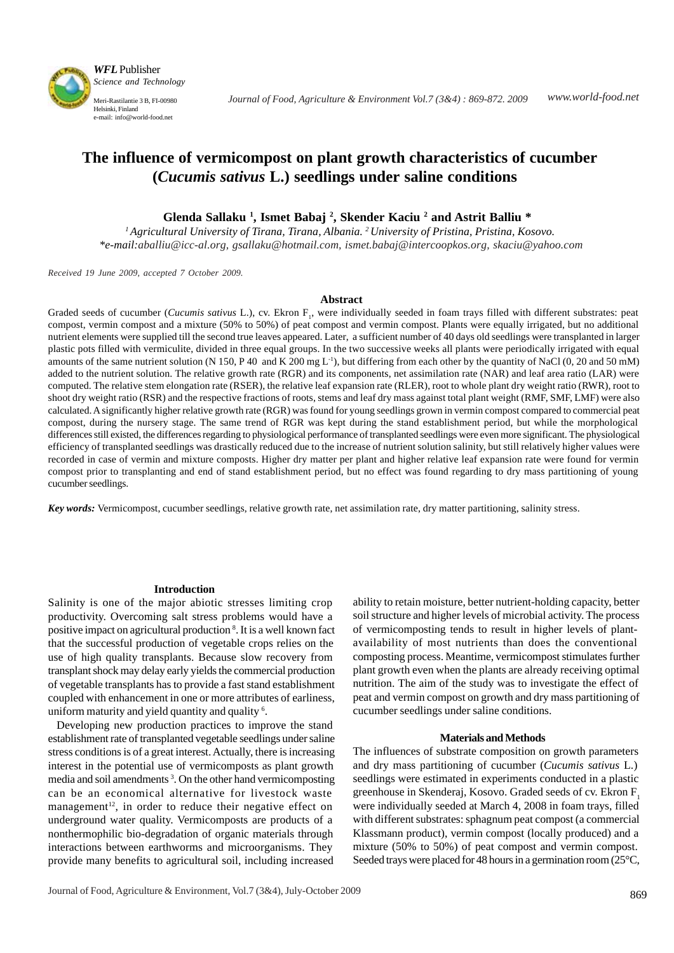

# **The influence of vermicompost on plant growth characteristics of cucumber (***Cucumis sativus* **L.) seedlings under saline conditions**

 **Glenda Sallaku 1 , Ismet Babaj 2 , Skender Kaciu 2 and Astrit Balliu \***

*1Agricultural University of Tirana, Tirana, Albania. 2University of Pristina, Pristina, Kosovo. \*e-mail:aballiu@icc-al.org, gsallaku@hotmail.com, ismet.babaj@intercoopkos.org, skaciu@yahoo.com*

*Received 19 June 2009, accepted 7 October 2009.*

#### **Abstract**

Graded seeds of cucumber (*Cucumis sativus* L.), cv. Ekron F<sub>1</sub>, were individually seeded in foam trays filled with different substrates: peat compost, vermin compost and a mixture (50% to 50%) of peat compost and vermin compost. Plants were equally irrigated, but no additional nutrient elements were supplied till the second true leaves appeared. Later, a sufficient number of 40 days old seedlings were transplanted in larger plastic pots filled with vermiculite, divided in three equal groups. In the two successive weeks all plants were periodically irrigated with equal amounts of the same nutrient solution (N 150, P 40 and K 200 mg  $L^{-1}$ ), but differing from each other by the quantity of NaCl (0, 20 and 50 mM) added to the nutrient solution. The relative growth rate (RGR) and its components, net assimilation rate (NAR) and leaf area ratio (LAR) were computed. The relative stem elongation rate (RSER), the relative leaf expansion rate (RLER), root to whole plant dry weight ratio (RWR), root to shoot dry weight ratio (RSR) and the respective fractions of roots, stems and leaf dry mass against total plant weight (RMF, SMF, LMF) were also calculated. A significantly higher relative growth rate (RGR) was found for young seedlings grown in vermin compost compared to commercial peat compost, during the nursery stage. The same trend of RGR was kept during the stand establishment period, but while the morphological differences still existed, the differences regarding to physiological performance of transplanted seedlings were even more significant. The physiological efficiency of transplanted seedlings was drastically reduced due to the increase of nutrient solution salinity, but still relatively higher values were recorded in case of vermin and mixture composts. Higher dry matter per plant and higher relative leaf expansion rate were found for vermin compost prior to transplanting and end of stand establishment period, but no effect was found regarding to dry mass partitioning of young cucumber seedlings.

*Key words:* Vermicompost, cucumber seedlings, relative growth rate, net assimilation rate, dry matter partitioning, salinity stress.

#### **Introduction**

Salinity is one of the major abiotic stresses limiting crop productivity. Overcoming salt stress problems would have a positive impact on agricultural production 8 . It is a well known fact that the successful production of vegetable crops relies on the use of high quality transplants. Because slow recovery from transplant shock may delay early yields the commercial production of vegetable transplants has to provide a fast stand establishment coupled with enhancement in one or more attributes of earliness, uniform maturity and yield quantity and quality <sup>6</sup>.

 Developing new production practices to improve the stand establishment rate of transplanted vegetable seedlings under saline stress conditions is of a great interest. Actually, there is increasing interest in the potential use of vermicomposts as plant growth media and soil amendments<sup>3</sup>. On the other hand vermicomposting can be an economical alternative for livestock waste management<sup>12</sup>, in order to reduce their negative effect on underground water quality. Vermicomposts are products of a nonthermophilic bio-degradation of organic materials through interactions between earthworms and microorganisms. They provide many benefits to agricultural soil, including increased

ability to retain moisture, better nutrient-holding capacity, better soil structure and higher levels of microbial activity. The process of vermicomposting tends to result in higher levels of plantavailability of most nutrients than does the conventional composting process. Meantime, vermicompost stimulates further plant growth even when the plants are already receiving optimal nutrition. The aim of the study was to investigate the effect of peat and vermin compost on growth and dry mass partitioning of cucumber seedlings under saline conditions.

## **Materials and Methods**

The influences of substrate composition on growth parameters and dry mass partitioning of cucumber (*Cucumis sativus* L.) seedlings were estimated in experiments conducted in a plastic greenhouse in Skenderaj, Kosovo. Graded seeds of cv. Ekron F1 were individually seeded at March 4, 2008 in foam trays, filled with different substrates: sphagnum peat compost (a commercial Klassmann product), vermin compost (locally produced) and a mixture (50% to 50%) of peat compost and vermin compost. Seeded trays were placed for 48 hours in a germination room (25°C,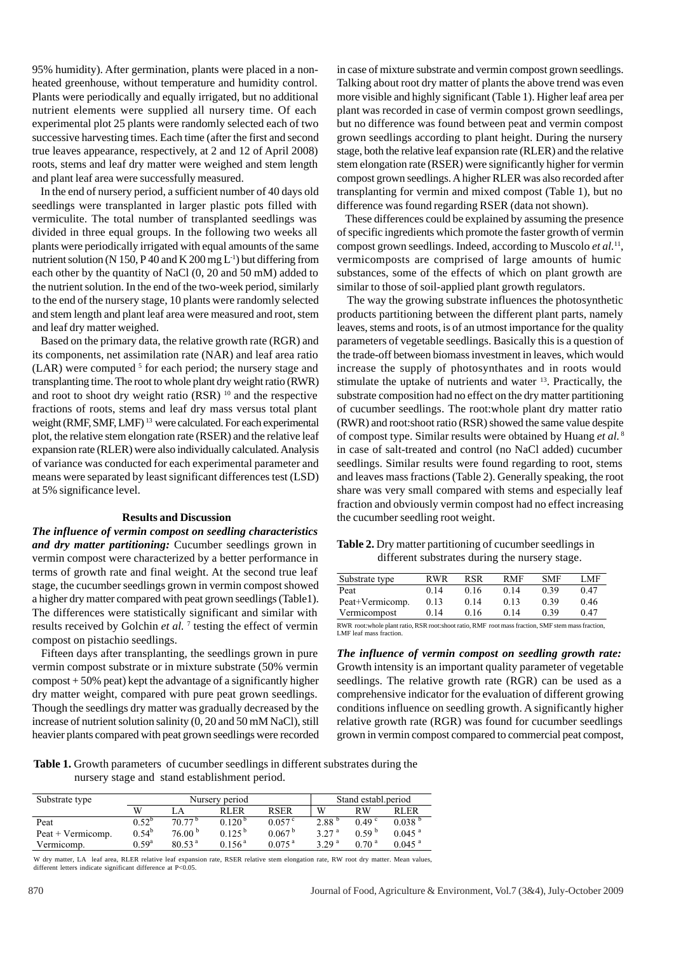95% humidity). After germination, plants were placed in a nonheated greenhouse, without temperature and humidity control. Plants were periodically and equally irrigated, but no additional nutrient elements were supplied all nursery time. Of each experimental plot 25 plants were randomly selected each of two successive harvesting times. Each time (after the first and second true leaves appearance, respectively, at 2 and 12 of April 2008) roots, stems and leaf dry matter were weighed and stem length and plant leaf area were successfully measured.

 In the end of nursery period, a sufficient number of 40 days old seedlings were transplanted in larger plastic pots filled with vermiculite. The total number of transplanted seedlings was divided in three equal groups. In the following two weeks all plants were periodically irrigated with equal amounts of the same nutrient solution (N 150, P 40 and K 200 mg  $L^{-1}$ ) but differing from each other by the quantity of NaCl (0, 20 and 50 mM) added to the nutrient solution. In the end of the two-week period, similarly to the end of the nursery stage, 10 plants were randomly selected and stem length and plant leaf area were measured and root, stem and leaf dry matter weighed.

 Based on the primary data, the relative growth rate (RGR) and its components, net assimilation rate (NAR) and leaf area ratio  $(LAR)$  were computed <sup>5</sup> for each period; the nursery stage and transplanting time. The root to whole plant dry weight ratio (RWR) and root to shoot dry weight ratio  $(RSR)^{10}$  and the respective fractions of roots, stems and leaf dry mass versus total plant weight (RMF, SMF, LMF) 13 were calculated. For each experimental plot, the relative stem elongation rate (RSER) and the relative leaf expansion rate (RLER) were also individually calculated. Analysis of variance was conducted for each experimental parameter and means were separated by least significant differences test (LSD) at 5% significance level.

## **Results and Discussion**

*The influence of vermin compost on seedling characteristics and dry matter partitioning:* Cucumber seedlings grown in vermin compost were characterized by a better performance in terms of growth rate and final weight. At the second true leaf stage, the cucumber seedlings grown in vermin compost showed a higher dry matter compared with peat grown seedlings (Table1). The differences were statistically significant and similar with results received by Golchin *et al.* <sup>7</sup> testing the effect of vermin compost on pistachio seedlings.

 Fifteen days after transplanting, the seedlings grown in pure vermin compost substrate or in mixture substrate (50% vermin compost + 50% peat) kept the advantage of a significantly higher dry matter weight, compared with pure peat grown seedlings. Though the seedlings dry matter was gradually decreased by the increase of nutrient solution salinity (0, 20 and 50 mM NaCl), still heavier plants compared with peat grown seedlings were recorded

in case of mixture substrate and vermin compost grown seedlings. Talking about root dry matter of plants the above trend was even more visible and highly significant (Table 1). Higher leaf area per plant was recorded in case of vermin compost grown seedlings, but no difference was found between peat and vermin compost grown seedlings according to plant height. During the nursery stage, both the relative leaf expansion rate (RLER) and the relative stem elongation rate (RSER) were significantly higher for vermin compost grown seedlings. A higher RLER was also recorded after transplanting for vermin and mixed compost (Table 1), but no difference was found regarding RSER (data not shown).

 These differences could be explained by assuming the presence of specific ingredients which promote the faster growth of vermin compost grown seedlings. Indeed, according to Muscolo *et al.*11, vermicomposts are comprised of large amounts of humic substances, some of the effects of which on plant growth are similar to those of soil-applied plant growth regulators.

 The way the growing substrate influences the photosynthetic products partitioning between the different plant parts, namely leaves, stems and roots, is of an utmost importance for the quality parameters of vegetable seedlings. Basically this is a question of the trade-off between biomass investment in leaves, which would increase the supply of photosynthates and in roots would stimulate the uptake of nutrients and water 13. Practically, the substrate composition had no effect on the dry matter partitioning of cucumber seedlings. The root:whole plant dry matter ratio (RWR) and root:shoot ratio (RSR) showed the same value despite of compost type. Similar results were obtained by Huang *et al.*<sup>8</sup> in case of salt-treated and control (no NaCl added) cucumber seedlings. Similar results were found regarding to root, stems and leaves mass fractions (Table 2). Generally speaking, the root share was very small compared with stems and especially leaf fraction and obviously vermin compost had no effect increasing the cucumber seedling root weight.

| Table 2. Dry matter partitioning of cucumber seedlings in |
|-----------------------------------------------------------|
| different substrates during the nursery stage.            |

| Substrate type  | RWR  | <b>RSR</b> | <b>RMF</b> | <b>SMF</b> | LMF  |
|-----------------|------|------------|------------|------------|------|
| Peat            | 0.14 | 0.16       | 0.14       | 0.39       | 0.47 |
| Peat+Vermicomp. | 0.13 | 0.14       | 0.13       | 0.39       | 0.46 |
| Vermicompost    | 0.14 | 0.16       | 0.14       | 0.39       | 0.47 |

RWR root:whole plant ratio, RSR root:shoot ratio, RMF root mass fraction, SMF stem mass fraction, LMF leaf mass fraction.

*The influence of vermin compost on seedling growth rate:* Growth intensity is an important quality parameter of vegetable seedlings. The relative growth rate (RGR) can be used as a comprehensive indicator for the evaluation of different growing conditions influence on seedling growth. A significantly higher relative growth rate (RGR) was found for cucumber seedlings grown in vermin compost compared to commercial peat compost,

**Table 1.** Growth parameters of cucumber seedlings in different substrates during the nursery stage and stand establishment period.

| Substrate type      | Nursery period |                    |                    |                      | Stand establ.period |                   |                      |
|---------------------|----------------|--------------------|--------------------|----------------------|---------------------|-------------------|----------------------|
|                     | W              | .A                 | <b>RLER</b>        | <b>RSER</b>          | W                   | RW                | <b>RLER</b>          |
| Peat                | $0.52^{b}$     | 70.77 <sup>b</sup> | $0.120^{b}$        | $0.057^{\circ}$      | 2.88 <sup>b</sup>   | 0.49 <sup>c</sup> | 0.038 <sup>b</sup>   |
| $Peak + Vermicomp.$ | $0.54^{b}$     | 76.00 <sup>b</sup> | $0.125^{b}$        | 0.067 <sup>b</sup>   | 3.27 <sup>a</sup>   | 0.59 <sup>b</sup> | $0.045$ <sup>a</sup> |
| Vermicomp.          | $0.59^{\rm a}$ | 80.53 <sup>a</sup> | 0.156 <sup>a</sup> | $0.075$ <sup>a</sup> | 329 <sup>a</sup>    | 0.70 <sup>a</sup> | $0.045$ <sup>a</sup> |

W dry matter, LA leaf area, RLER relative leaf expansion rate, RSER relative stem elongation rate, RW root dry matter. Mean values, different letters indicate significant difference at P<0.05.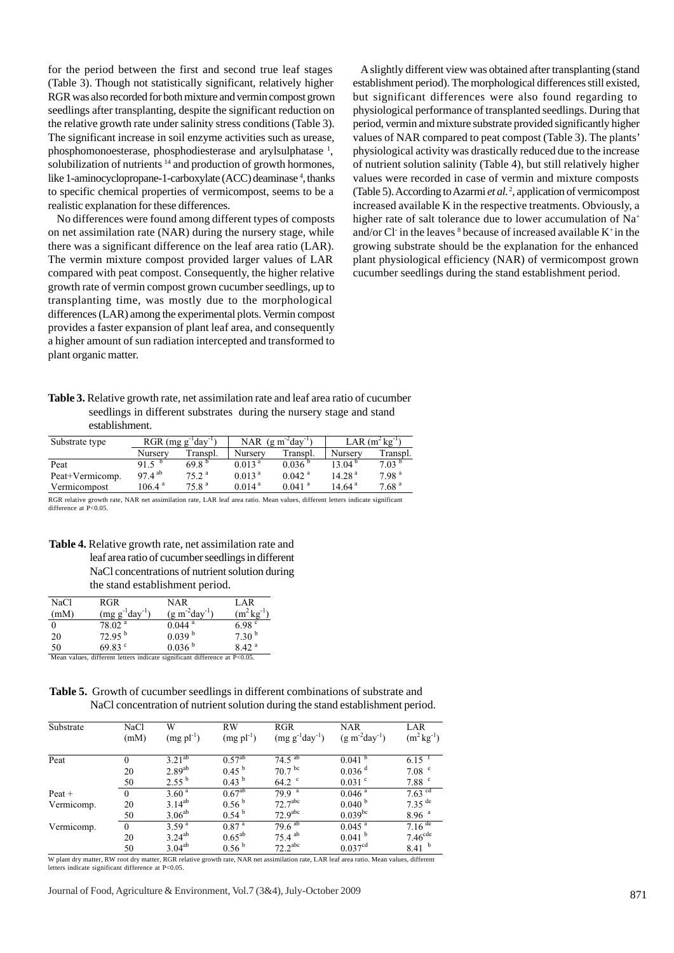for the period between the first and second true leaf stages (Table 3). Though not statistically significant, relatively higher RGR was also recorded for both mixture and vermin compost grown seedlings after transplanting, despite the significant reduction on the relative growth rate under salinity stress conditions (Table 3). The significant increase in soil enzyme activities such as urease, phosphomonoesterase, phosphodiesterase and arylsulphatase <sup>1</sup>, solubilization of nutrients <sup>14</sup> and production of growth hormones, like 1-aminocyclopropane-1-carboxylate (ACC) deaminase<sup>4</sup>, thanks to specific chemical properties of vermicompost, seems to be a realistic explanation for these differences.

 No differences were found among different types of composts on net assimilation rate (NAR) during the nursery stage, while there was a significant difference on the leaf area ratio (LAR). The vermin mixture compost provided larger values of LAR compared with peat compost. Consequently, the higher relative growth rate of vermin compost grown cucumber seedlings, up to transplanting time, was mostly due to the morphological differences (LAR) among the experimental plots. Vermin compost provides a faster expansion of plant leaf area, and consequently a higher amount of sun radiation intercepted and transformed to plant organic matter.

 A slightly different view was obtained after transplanting (stand establishment period). The morphological differences still existed, but significant differences were also found regarding to physiological performance of transplanted seedlings. During that period, vermin and mixture substrate provided significantly higher values of NAR compared to peat compost (Table 3). The plants' physiological activity was drastically reduced due to the increase of nutrient solution salinity (Table 4), but still relatively higher values were recorded in case of vermin and mixture composts (Table 5). According to Azarmi *et al.* <sup>2</sup> , application of vermicompost increased available K in the respective treatments. Obviously, a higher rate of salt tolerance due to lower accumulation of Na<sup>+</sup> and/or Cl in the leaves  $8$  because of increased available  $K^+$  in the growing substrate should be the explanation for the enhanced plant physiological efficiency (NAR) of vermicompost grown cucumber seedlings during the stand establishment period.

**Table 3.** Relative growth rate, net assimilation rate and leaf area ratio of cucumber seedlings in different substrates during the nursery stage and stand establishment.

| Substrate type  | $RGR$ (mg g <sup>-1</sup> day <sup>-1</sup> ) |                   |                    | NAR $(g m^2day^{-1})$ | LAR $(m^2kg^{-1})$ |                   |
|-----------------|-----------------------------------------------|-------------------|--------------------|-----------------------|--------------------|-------------------|
|                 | Nursery                                       | Transpl.          | Nurserv            | Transpl.              | Nursery            | Transpl.          |
| Peat            | 91.5 $b$                                      | 69.8 <sup>b</sup> | 0.013 <sup>a</sup> | 0.036 <sup>b</sup>    | 13.04 <sup>b</sup> | 7.03 <sup>b</sup> |
| Peat+Vermicomp. | $97.4^{ab}$                                   | 75.2 <sup>a</sup> | 0.013 <sup>a</sup> | $0.042$ <sup>a</sup>  | 14.28 <sup>a</sup> | 7.98 <sup>a</sup> |
| Vermicompost    | $106.4^{\text{a}}$                            | 75.8 <sup>a</sup> | 0.014 <sup>a</sup> | $0.041$ <sup>a</sup>  | 14.64 $a$          | 7.68 <sup>a</sup> |

RGR relative growth rate, NAR net assimilation rate, LAR leaf area ratio. Mean values, different letters indicate significant difference at P<0.05

**Table 4.** Relative growth rate, net assimilation rate and leaf area ratio of cucumber seedlings in different NaCl concentrations of nutrient solution during the stand establishment period.

| NaCl | RGR                                                                                                           | NAR                  | LAR                    |
|------|---------------------------------------------------------------------------------------------------------------|----------------------|------------------------|
| (mM) | $(mg g^{-1}day^{-1})$                                                                                         | $(g m^{-2}day^{-1})$ | $(m^2 \text{kg}^{-1})$ |
|      | 78.02 <sup>a</sup>                                                                                            | $0.044$ <sup>a</sup> | 6.98 <sup>c</sup>      |
| 20   | $72.95^{b}$                                                                                                   | 0.039 <sup>b</sup>   | 7.30 <sup>b</sup>      |
| 50   | 69.83 $^{\circ}$                                                                                              | 0.036 <sup>b</sup>   | 842 <sup>a</sup>       |
|      | $M_{\odot}$ , and the contract of the contract of the contract of $\sim$ $N_{\odot}$ . The contract of $\sim$ |                      |                        |

values, different letters indicate significant difference at  $P<0.05$ .

**Table 5.** Growth of cucumber seedlings in different combinations of substrate and NaCl concentration of nutrient solution during the stand establishment period.

| Substrate  | <b>NaCl</b><br>(mM) | W<br>$(mg\text{ pl}^{-1})$ | <b>RW</b><br>$(mg\,pl^{-1})$ | <b>RGR</b><br>$(mg g^{-1}day^{-1})$ | <b>NAR</b><br>$(g m^{-2}day^{-1})$ | LAR.<br>$(m^2 \text{ kg}^{-1})$ |
|------------|---------------------|----------------------------|------------------------------|-------------------------------------|------------------------------------|---------------------------------|
| Peat       | $\theta$            | $3.21^{ab}$                | $0.57^{ab}$                  | $74.5^{ab}$                         | $0.041$ b                          | $6.15$ <sup>T</sup>             |
|            | 20                  | $2.89^{ab}$                | 0.45 <sup>b</sup>            | 70.7 <sup>bc</sup>                  | $0.036$ <sup>d</sup>               | 7.08 <sup>e</sup>               |
|            | 50                  | $2.55^{b}$                 | 0.43 <sup>b</sup>            | $64.2$ °                            | $0.031$ °                          | $7.88$ $\degree$                |
| Peat +     | $\theta$            | $3.60^{\circ}$             | $0.67^{ab}$                  | 79.9 <sup>a</sup>                   | $0.046^{\frac{a}{a}}$              | $7.63$ <sup>cd</sup>            |
| Vermicomp. | 20                  | $3.14^{ab}$                | 0.56 <sup>b</sup>            | 72.7 <sup>abc</sup>                 | 0.040 <sup>b</sup>                 | $7.35$ <sup>de</sup>            |
|            | 50                  | 3.06 <sup>ab</sup>         | 0.54 <sup>b</sup>            | 72.9 <sup>abc</sup>                 | $0.039^{bc}$                       | 8.96 <sup>a</sup>               |
| Vermicomp. | $\theta$            | 3.59 <sup>a</sup>          | 0.87 <sup>a</sup>            | $79.6^{ab}$                         | $0.04\overline{5}$ <sup>a</sup>    | $7.16$ <sup>de</sup>            |
|            | 20                  | $3.24^{ab}$                | $0.65^{ab}$                  | $75.4$ <sup>ab</sup>                | $0.041$ b                          | 7.46 <sup>cde</sup>             |
|            | 50                  | 3.04 <sup>ab</sup>         | 0.56 <sup>b</sup>            | $72.2$ <sup>abc</sup>               | 0.037 <sup>cd</sup>                | 8.41 <sup>b</sup>               |

W plant dry matter, RW root dry matter, RGR relative growth rate, NAR net assimilation rate, LAR leaf area ratio. Mean values, different letters indicate significant difference at P<0.05.